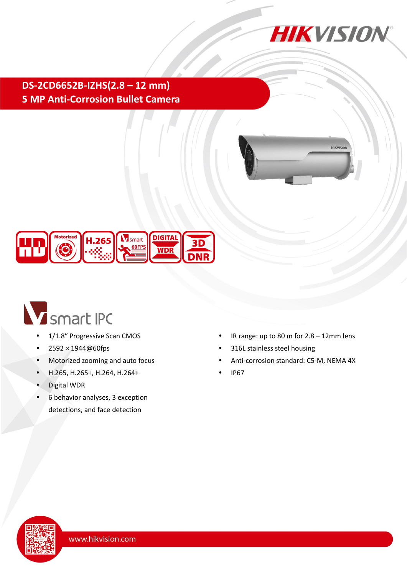

**HIKVIS** 

**DS-2CD6652B-IZHS(2.8 – 12 mm) 5 MP Anti-Corrosion Bullet Camera**



# Smart IPC

- 1/1.8″ Progressive Scan CMOS
- 2592 × 1944@60fps
- Motorized zooming and auto focus
- H.265, H.265+, H.264, H.264+
- Digital WDR
- 6 behavior analyses, 3 exception detections, and face detection
- IR range: up to 80 m for 2.8 12mm lens
- 316L stainless steel housing
- Anti-corrosion standard: C5-M, NEMA 4X
- IP67

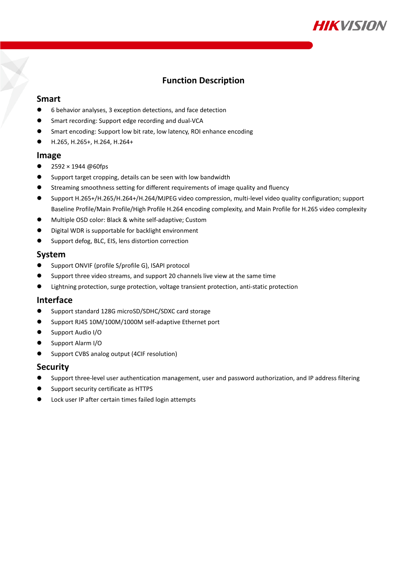

### **Function Description**

#### **Smart**

- 6 behavior analyses, 3 exception detections, and face detection
- **Smart recording: Support edge recording and dual-VCA**
- Smart encoding: Support low bit rate, low latency, ROI enhance encoding
- H.265, H.265+, H.264, H.264+

#### **Image**

- 2592 × 1944 @60fps
- Support target cropping, details can be seen with low bandwidth
- Streaming smoothness setting for different requirements of image quality and fluency
- Support H.265+/H.265/H.264+/H.264/MJPEG video compression, multi-level video quality configuration; support Baseline Profile/Main Profile/High Profile H.264 encoding complexity, and Main Profile for H.265 video complexity
- Multiple OSD color: Black & white self-adaptive; Custom
- Digital WDR is supportable for backlight environment
- **O** Support defog, BLC, EIS, lens distortion correction

#### **System**

- Support ONVIF (profile S/profile G), ISAPI protocol
- Support three video streams, and support 20 channels live view at the same time
- Lightning protection, surge protection, voltage transient protection, anti-static protection

#### **Interface**

- Support standard 128G microSD/SDHC/SDXC card storage
- Support RJ45 10M/100M/1000M self-adaptive Ethernet port
- **Support Audio I/O**
- Support Alarm I/O
- Support CVBS analog output (4CIF resolution)

#### **Security**

- Support three-level user authentication management, user and password authorization, and IP address filtering
- Support security certificate as HTTPS
- **•** Lock user IP after certain times failed login attempts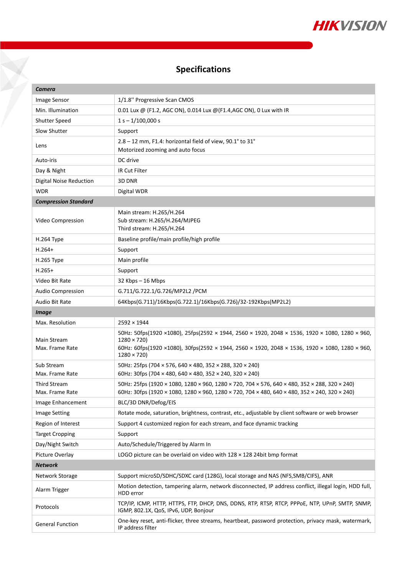

# **Specifications**

¥

| Camera                                |                                                                                                                                                                                                                                            |  |
|---------------------------------------|--------------------------------------------------------------------------------------------------------------------------------------------------------------------------------------------------------------------------------------------|--|
| Image Sensor                          | 1/1.8" Progressive Scan CMOS                                                                                                                                                                                                               |  |
| Min. Illumination                     | 0.01 Lux @ (F1.2, AGC ON), 0.014 Lux @ (F1.4, AGC ON), 0 Lux with IR                                                                                                                                                                       |  |
| <b>Shutter Speed</b>                  | $1 s - 1/100,000 s$                                                                                                                                                                                                                        |  |
| Slow Shutter                          | Support                                                                                                                                                                                                                                    |  |
| Lens                                  | 2.8 - 12 mm, F1.4: horizontal field of view, 90.1° to 31°<br>Motorized zooming and auto focus                                                                                                                                              |  |
| Auto-iris                             | DC drive                                                                                                                                                                                                                                   |  |
| Day & Night                           | IR Cut Filter                                                                                                                                                                                                                              |  |
| Digital Noise Reduction               | 3D DNR                                                                                                                                                                                                                                     |  |
| <b>WDR</b>                            | Digital WDR                                                                                                                                                                                                                                |  |
| <b>Compression Standard</b>           |                                                                                                                                                                                                                                            |  |
| Video Compression                     | Main stream: H.265/H.264<br>Sub stream: H.265/H.264/MJPEG<br>Third stream: H.265/H.264                                                                                                                                                     |  |
| H.264 Type                            | Baseline profile/main profile/high profile                                                                                                                                                                                                 |  |
| $H.264+$                              | Support                                                                                                                                                                                                                                    |  |
| H.265 Type                            | Main profile                                                                                                                                                                                                                               |  |
| $H.265+$                              | Support                                                                                                                                                                                                                                    |  |
| Video Bit Rate                        | 32 Kbps - 16 Mbps                                                                                                                                                                                                                          |  |
| <b>Audio Compression</b>              | G.711/G.722.1/G.726/MP2L2 /PCM                                                                                                                                                                                                             |  |
| Audio Bit Rate                        | 64Kbps(G.711)/16Kbps(G.722.1)/16Kbps(G.726)/32-192Kbps(MP2L2)                                                                                                                                                                              |  |
| <b>Image</b>                          |                                                                                                                                                                                                                                            |  |
| Max. Resolution                       | $2592 \times 1944$                                                                                                                                                                                                                         |  |
| <b>Main Stream</b><br>Max. Frame Rate | 50Hz: 50fps(1920 ×1080), 25fps(2592 × 1944, 2560 × 1920, 2048 × 1536, 1920 × 1080, 1280 × 960,<br>$1280 \times 720$<br>60Hz: 60fps(1920 ×1080), 30fps(2592 × 1944, 2560 × 1920, 2048 × 1536, 1920 × 1080, 1280 × 960,<br>$1280 \times 720$ |  |
| Sub Stream<br>Max. Frame Rate         | 50Hz: 25fps (704 × 576, 640 × 480, 352 × 288, 320 × 240)<br>60Hz: 30fps (704 × 480, 640 × 480, 352 × 240, 320 × 240)                                                                                                                       |  |
| Third Stream<br>Max. Frame Rate       | 50Hz: 25fps (1920 × 1080, 1280 × 960, 1280 × 720, 704 × 576, 640 × 480, 352 × 288, 320 × 240)<br>60Hz: 30fps (1920 × 1080, 1280 × 960, 1280 × 720, 704 × 480, 640 × 480, 352 × 240, 320 × 240)                                             |  |
| Image Enhancement                     | BLC/3D DNR/Defog/EIS                                                                                                                                                                                                                       |  |
| <b>Image Setting</b>                  | Rotate mode, saturation, brightness, contrast, etc., adjustable by client software or web browser                                                                                                                                          |  |
| Region of Interest                    | Support 4 customized region for each stream, and face dynamic tracking                                                                                                                                                                     |  |
| <b>Target Cropping</b>                | Support                                                                                                                                                                                                                                    |  |
| Day/Night Switch                      | Auto/Schedule/Triggered by Alarm In                                                                                                                                                                                                        |  |
| Picture Overlay                       | LOGO picture can be overlaid on video with $128 \times 128$ 24bit bmp format                                                                                                                                                               |  |
| <b>Network</b>                        |                                                                                                                                                                                                                                            |  |
| Network Storage                       | Support microSD/SDHC/SDXC card (128G), local storage and NAS (NFS, SMB/CIFS), ANR                                                                                                                                                          |  |
| Alarm Trigger                         | Motion detection, tampering alarm, network disconnected, IP address conflict, illegal login, HDD full,<br>HDD error                                                                                                                        |  |
| Protocols                             | TCP/IP, ICMP, HTTP, HTTPS, FTP, DHCP, DNS, DDNS, RTP, RTSP, RTCP, PPPOE, NTP, UPnP, SMTP, SNMP,<br>IGMP, 802.1X, QoS, IPv6, UDP, Bonjour                                                                                                   |  |
| <b>General Function</b>               | One-key reset, anti-flicker, three streams, heartbeat, password protection, privacy mask, watermark,<br>IP address filter                                                                                                                  |  |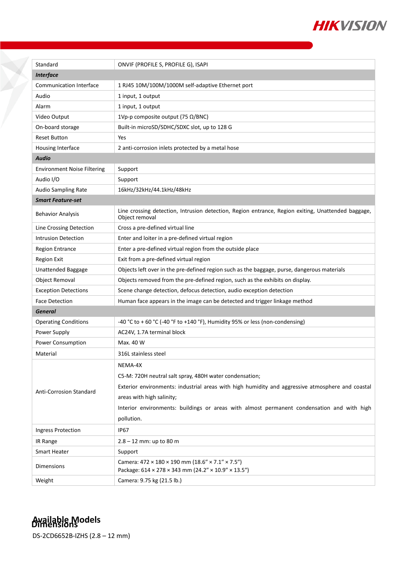

| Standard                           | ONVIF (PROFILE S, PROFILE G), ISAPI                                                                                  |  |
|------------------------------------|----------------------------------------------------------------------------------------------------------------------|--|
| <b>Interface</b>                   |                                                                                                                      |  |
| <b>Communication Interface</b>     | 1 RJ45 10M/100M/1000M self-adaptive Ethernet port                                                                    |  |
| Audio                              | 1 input, 1 output                                                                                                    |  |
| Alarm                              | 1 input, 1 output                                                                                                    |  |
| Video Output                       | 1Vp-p composite output (75 $\Omega$ /BNC)                                                                            |  |
| On-board storage                   | Built-in microSD/SDHC/SDXC slot, up to 128 G                                                                         |  |
| <b>Reset Button</b>                | Yes                                                                                                                  |  |
| Housing Interface                  | 2 anti-corrosion inlets protected by a metal hose                                                                    |  |
| <b>Audio</b>                       |                                                                                                                      |  |
| <b>Environment Noise Filtering</b> | Support                                                                                                              |  |
| Audio I/O                          | Support                                                                                                              |  |
| <b>Audio Sampling Rate</b>         | 16kHz/32kHz/44.1kHz/48kHz                                                                                            |  |
| <b>Smart Feature-set</b>           |                                                                                                                      |  |
| <b>Behavior Analysis</b>           | Line crossing detection, Intrusion detection, Region entrance, Region exiting, Unattended baggage,<br>Object removal |  |
| Line Crossing Detection            | Cross a pre-defined virtual line                                                                                     |  |
| <b>Intrusion Detection</b>         | Enter and loiter in a pre-defined virtual region                                                                     |  |
| <b>Region Entrance</b>             | Enter a pre-defined virtual region from the outside place                                                            |  |
| <b>Region Exit</b>                 | Exit from a pre-defined virtual region                                                                               |  |
| Unattended Baggage                 | Objects left over in the pre-defined region such as the baggage, purse, dangerous materials                          |  |
| <b>Object Removal</b>              | Objects removed from the pre-defined region, such as the exhibits on display.                                        |  |
| <b>Exception Detections</b>        | Scene change detection, defocus detection, audio exception detection                                                 |  |
| <b>Face Detection</b>              | Human face appears in the image can be detected and trigger linkage method                                           |  |
| General                            |                                                                                                                      |  |
| <b>Operating Conditions</b>        | -40 °C to + 60 °C (-40 °F to +140 °F), Humidity 95% or less (non-condensing)                                         |  |
| Power Supply                       | AC24V, 1.7A terminal block                                                                                           |  |
| <b>Power Consumption</b>           | Max. 40 W                                                                                                            |  |
| Material                           | 316L stainless steel                                                                                                 |  |
| Anti-Corrosion Standard            | NEMA-4X                                                                                                              |  |
|                                    | C5-M: 720H neutral salt spray, 480H water condensation;                                                              |  |
|                                    | Exterior environments: industrial areas with high humidity and aggressive atmosphere and coastal                     |  |
|                                    | areas with high salinity;                                                                                            |  |
|                                    | Interior environments: buildings or areas with almost permanent condensation and with high                           |  |
|                                    | pollution.                                                                                                           |  |
| Ingress Protection                 | <b>IP67</b>                                                                                                          |  |
| IR Range                           | $2.8 - 12$ mm: up to 80 m                                                                                            |  |
| Smart Heater                       | Support                                                                                                              |  |
| Dimensions                         | Camera: $472 \times 180 \times 190$ mm $(18.6'' \times 7.1'' \times 7.5'')$                                          |  |
|                                    | Package: 614 × 278 × 343 mm (24.2" × 10.9" × 13.5")                                                                  |  |
| Weight                             | Camera: 9.75 kg (21.5 lb.)                                                                                           |  |

X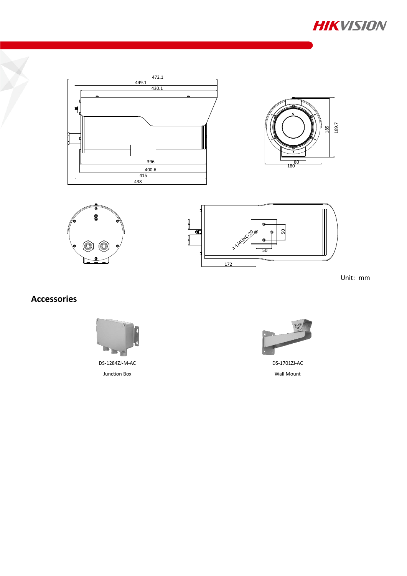









Unit: mm

## **Accessories**





DS-1701ZJ-AC Wall Mount